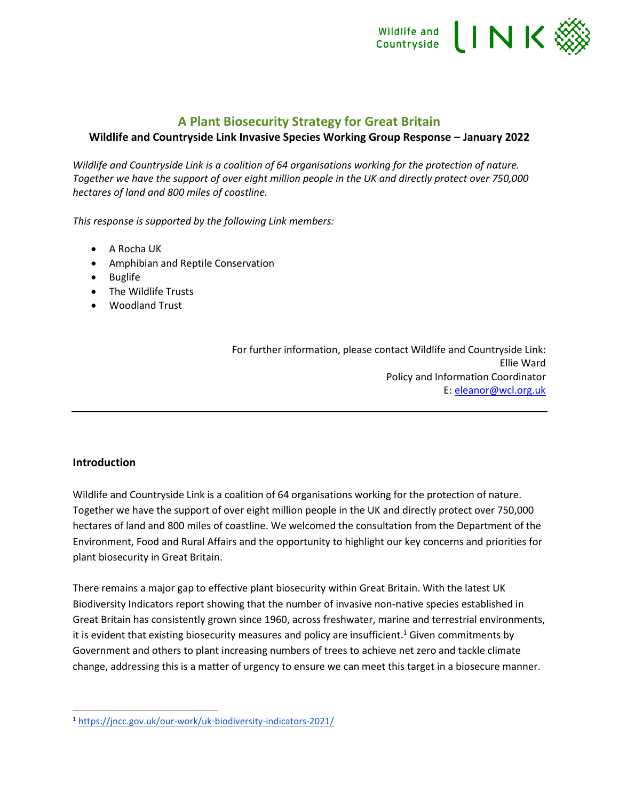

### **A Plant Biosecurity Strategy for Great Britain**

**Wildlife and Countryside Link Invasive Species Working Group Response – January 2022**

*Wildlife and Countryside Link is a coalition of 64 organisations working for the protection of nature. Together we have the support of over eight million people in the UK and directly protect over 750,000 hectares of land and 800 miles of coastline.* 

*This response is supported by the following Link members:*

- A Rocha UK
- Amphibian and Reptile Conservation
- Buglife
- The Wildlife Trusts
- Woodland Trust

For further information, please contact Wildlife and Countryside Link: Ellie Ward Policy and Information Coordinator E: [eleanor@wcl.org.uk](mailto:eleanor@wcl.org.uk)

#### **Introduction**

Wildlife and Countryside Link is a coalition of 64 organisations working for the protection of nature. Together we have the support of over eight million people in the UK and directly protect over 750,000 hectares of land and 800 miles of coastline. We welcomed the consultation from the Department of the Environment, Food and Rural Affairs and the opportunity to highlight our key concerns and priorities for plant biosecurity in Great Britain.

There remains a major gap to effective plant biosecurity within Great Britain. With the latest UK Biodiversity Indicators report showing that the number of invasive non-native species established in Great Britain has consistently grown since 1960, across freshwater, marine and terrestrial environments, it is evident that existing biosecurity measures and policy are insufficient.<sup>1</sup> Given commitments by Government and others to plant increasing numbers of trees to achieve net zero and tackle climate change, addressing this is a matter of urgency to ensure we can meet this target in a biosecure manner.

<sup>1</sup> <https://jncc.gov.uk/our-work/uk-biodiversity-indicators-2021/>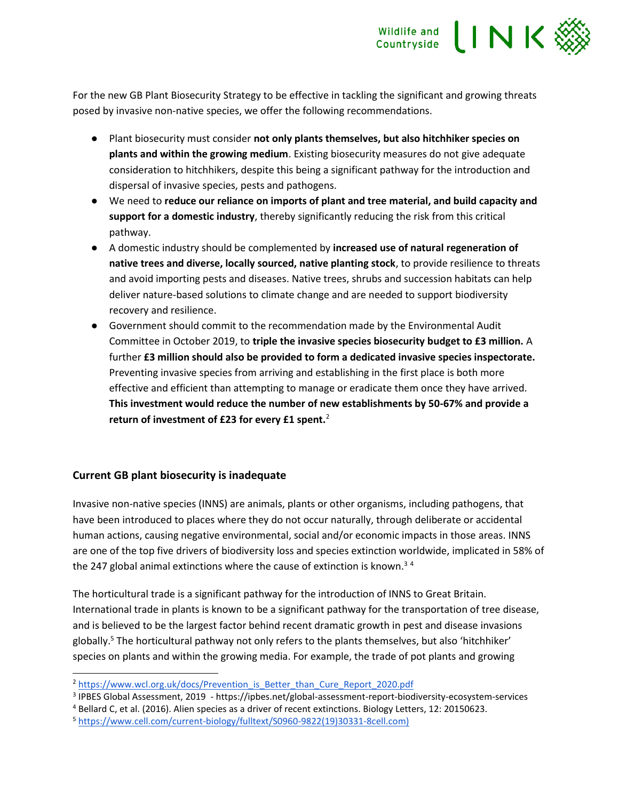

For the new GB Plant Biosecurity Strategy to be effective in tackling the significant and growing threats posed by invasive non-native species, we offer the following recommendations.

- Plant biosecurity must consider **not only plants themselves, but also hitchhiker species on plants and within the growing medium**. Existing biosecurity measures do not give adequate consideration to hitchhikers, despite this being a significant pathway for the introduction and dispersal of invasive species, pests and pathogens.
- We need to **reduce our reliance on imports of plant and tree material, and build capacity and support for a domestic industry**, thereby significantly reducing the risk from this critical pathway.
- A domestic industry should be complemented by **increased use of natural regeneration of native trees and diverse, locally sourced, native planting stock**, to provide resilience to threats and avoid importing pests and diseases. Native trees, shrubs and succession habitats can help deliver nature-based solutions to climate change and are needed to support biodiversity recovery and resilience.
- Government should commit to the recommendation made by the Environmental Audit Committee in October 2019, to **triple the invasive species biosecurity budget to £3 million.** A further **£3 million should also be provided to form a dedicated invasive species inspectorate.**  Preventing invasive species from arriving and establishing in the first place is both more effective and efficient than attempting to manage or eradicate them once they have arrived. **This investment would reduce the number of new establishments by 50-67% and provide a return of investment of £23 for every £1 spent.**<sup>2</sup>

### **Current GB plant biosecurity is inadequate**

Invasive non-native species (INNS) are animals, plants or other organisms, including pathogens, that have been introduced to places where they do not occur naturally, through deliberate or accidental human actions, causing negative environmental, social and/or economic impacts in those areas. INNS are one of the top five drivers of biodiversity loss and species extinction worldwide, implicated in 58% of the 247 global animal extinctions where the cause of extinction is known.<sup>34</sup>

The horticultural trade is a significant pathway for the introduction of INNS to Great Britain. International trade in plants is known to be a significant pathway for the transportation of tree disease, and is believed to be the largest factor behind recent dramatic growth in pest and disease invasions globally.<sup>5</sup> The horticultural pathway not only refers to the plants themselves, but also 'hitchhiker' species on plants and within the growing media. For example, the trade of pot plants and growing

<sup>&</sup>lt;sup>2</sup> [https://www.wcl.org.uk/docs/Prevention\\_is\\_Better\\_than\\_Cure\\_Report\\_2020.pdf](https://www.wcl.org.uk/docs/Prevention_is_Better_than_Cure_Report_2020.pdf)

<sup>3</sup> IPBES Global Assessment, 2019 - https://ipbes.net/global-assessment-report-biodiversity-ecosystem-services

 $4$  Bellard C, et al. (2016). Alien species as a driver of recent extinctions. Biology Letters, 12: 20150623.

<sup>5</sup> [https://www.cell.com/current-biology/fulltext/S0960-9822\(19\)30331-8cell.com\)](https://www.cell.com/current-biology/fulltext/S0960-9822(19)30331-8)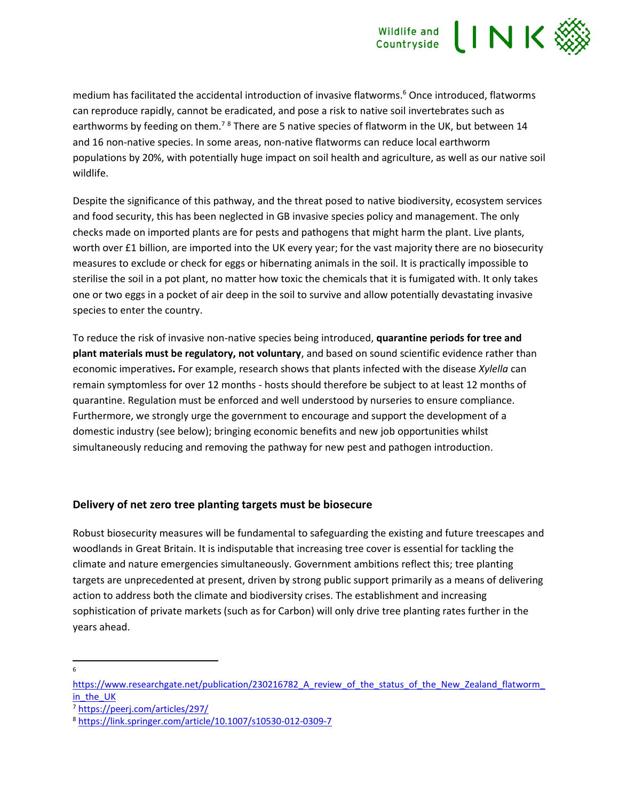### Wildlife and **LINK** Countryside

medium has facilitated the accidental introduction of invasive flatworms.<sup>6</sup> Once introduced, flatworms can reproduce rapidly, cannot be eradicated, and pose a risk to native soil invertebrates such as earthworms by feeding on them.<sup>78</sup> There are 5 native species of flatworm in the UK, but between 14 and 16 non-native species. In some areas, non-native flatworms can reduce local earthworm populations by 20%, with potentially huge impact on soil health and agriculture, as well as our native soil wildlife.

Despite the significance of this pathway, and the threat posed to native biodiversity, ecosystem services and food security, this has been neglected in GB invasive species policy and management. The only checks made on imported plants are for pests and pathogens that might harm the plant. Live plants, worth over £1 billion, are imported into the UK every year; for the vast majority there are no biosecurity measures to exclude or check for eggs or hibernating animals in the soil. It is practically impossible to sterilise the soil in a pot plant, no matter how toxic the chemicals that it is fumigated with. It only takes one or two eggs in a pocket of air deep in the soil to survive and allow potentially devastating invasive species to enter the country.

To reduce the risk of invasive non-native species being introduced, **quarantine periods for tree and plant materials must be regulatory, not voluntary**, and based on sound scientific evidence rather than economic imperatives**.** For example, research shows that plants infected with the disease *Xylella* can remain symptomless for over 12 months - hosts should therefore be subject to at least 12 months of quarantine. Regulation must be enforced and well understood by nurseries to ensure compliance. Furthermore, we strongly urge the government to encourage and support the development of a domestic industry (see below); bringing economic benefits and new job opportunities whilst simultaneously reducing and removing the pathway for new pest and pathogen introduction.

### **Delivery of net zero tree planting targets must be biosecure**

Robust biosecurity measures will be fundamental to safeguarding the existing and future treescapes and woodlands in Great Britain. It is indisputable that increasing tree cover is essential for tackling the climate and nature emergencies simultaneously. Government ambitions reflect this; tree planting targets are unprecedented at present, driven by strong public support primarily as a means of delivering action to address both the climate and biodiversity crises. The establishment and increasing sophistication of private markets (such as for Carbon) will only drive tree planting rates further in the years ahead.

<sup>6</sup>

https://www.researchgate.net/publication/230216782 A review of the status of the New Zealand flatworm in the UK

<sup>7</sup> <https://peerj.com/articles/297/>

<sup>8</sup> <https://link.springer.com/article/10.1007/s10530-012-0309-7>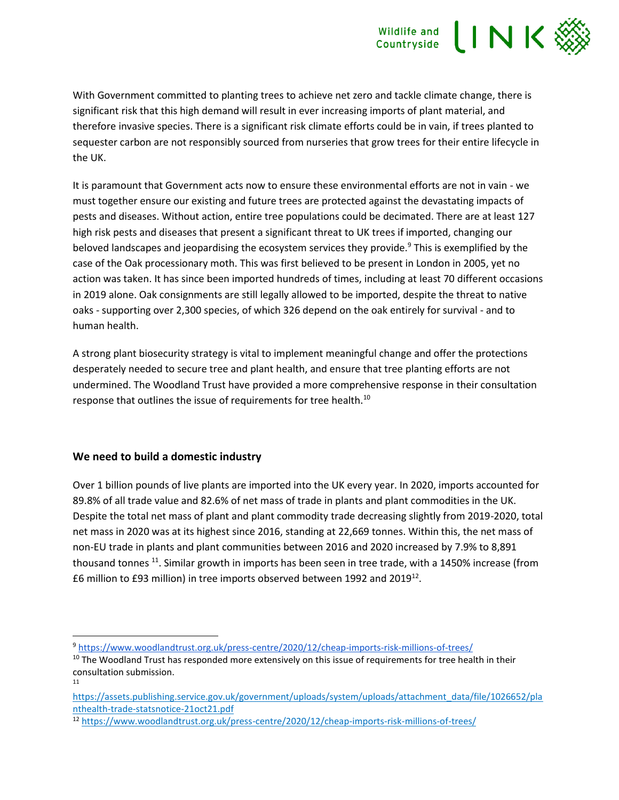# **LINK** Wildlife and<br>Countryside

With Government committed to planting trees to achieve net zero and tackle climate change, there is significant risk that this high demand will result in ever increasing imports of plant material, and therefore invasive species. There is a significant risk climate efforts could be in vain, if trees planted to sequester carbon are not responsibly sourced from nurseries that grow trees for their entire lifecycle in the UK.

It is paramount that Government acts now to ensure these environmental efforts are not in vain - we must together ensure our existing and future trees are protected against the devastating impacts of pests and diseases. Without action, entire tree populations could be decimated. There are at least 127 high risk pests and diseases that present a significant threat to UK trees if imported, changing our beloved landscapes and jeopardising the ecosystem services they provide.<sup>9</sup> This is exemplified by the case of the Oak processionary moth. This was first believed to be present in London in 2005, yet no action was taken. It has since been imported hundreds of times, including at least 70 different occasions in 2019 alone. Oak consignments are still legally allowed to be imported, despite the threat to native oaks - supporting over 2,300 species, of which 326 depend on the oak entirely for survival - and to human health.

A strong plant biosecurity strategy is vital to implement meaningful change and offer the protections desperately needed to secure tree and plant health, and ensure that tree planting efforts are not undermined. The Woodland Trust have provided a more comprehensive response in their consultation response that outlines the issue of requirements for tree health.<sup>10</sup>

### **We need to build a domestic industry**

Over 1 billion pounds of live plants are imported into the UK every year. In 2020, imports accounted for 89.8% of all trade value and 82.6% of net mass of trade in plants and plant commodities in the UK. Despite the total net mass of plant and plant commodity trade decreasing slightly from 2019-2020, total net mass in 2020 was at its highest since 2016, standing at 22,669 tonnes. Within this, the net mass of non-EU trade in plants and plant communities between 2016 and 2020 increased by 7.9% to 8,891 thousand tonnes <sup>11</sup>. Similar growth in imports has been seen in tree trade, with a 1450% increase (from £6 million to £93 million) in tree imports observed between 1992 and 2019<sup>12</sup>.

<sup>9</sup> <https://www.woodlandtrust.org.uk/press-centre/2020/12/cheap-imports-risk-millions-of-trees/>

<sup>&</sup>lt;sup>10</sup> The Woodland Trust has responded more extensively on this issue of requirements for tree health in their consultation submission. 11

[https://assets.publishing.service.gov.uk/government/uploads/system/uploads/attachment\\_data/file/1026652/pla](https://assets.publishing.service.gov.uk/government/uploads/system/uploads/attachment_data/file/1026652/planthealth-trade-statsnotice-21oct21.pdf) [nthealth-trade-statsnotice-21oct21.pdf](https://assets.publishing.service.gov.uk/government/uploads/system/uploads/attachment_data/file/1026652/planthealth-trade-statsnotice-21oct21.pdf) 

<sup>12</sup> <https://www.woodlandtrust.org.uk/press-centre/2020/12/cheap-imports-risk-millions-of-trees/>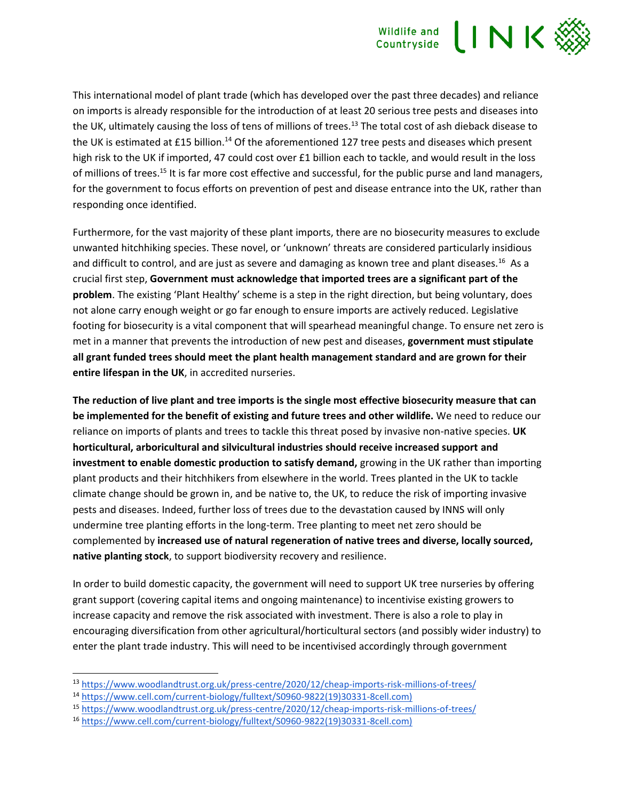

This international model of plant trade (which has developed over the past three decades) and reliance on imports is already responsible for the introduction of at least 20 serious tree pests and diseases into the UK, ultimately causing the loss of tens of millions of trees.<sup>13</sup> The total cost of ash dieback disease to the UK is estimated at £15 billion.<sup>14</sup> Of the aforementioned 127 tree pests and diseases which present high risk to the UK if imported, 47 could cost over £1 billion each to tackle, and would result in the loss of millions of trees.<sup>15</sup> It is far more cost effective and successful, for the public purse and land managers, for the government to focus efforts on prevention of pest and disease entrance into the UK, rather than responding once identified.

Furthermore, for the vast majority of these plant imports, there are no biosecurity measures to exclude unwanted hitchhiking species. These novel, or 'unknown' threats are considered particularly insidious and difficult to control, and are just as severe and damaging as known tree and plant diseases.<sup>16</sup> As a crucial first step, **Government must acknowledge that imported trees are a significant part of the problem**. The existing 'Plant Healthy' scheme is a step in the right direction, but being voluntary, does not alone carry enough weight or go far enough to ensure imports are actively reduced. Legislative footing for biosecurity is a vital component that will spearhead meaningful change. To ensure net zero is met in a manner that prevents the introduction of new pest and diseases, **government must stipulate all grant funded trees should meet the plant health management standard and are grown for their entire lifespan in the UK**, in accredited nurseries.

**The reduction of live plant and tree imports is the single most effective biosecurity measure that can be implemented for the benefit of existing and future trees and other wildlife.** We need to reduce our reliance on imports of plants and trees to tackle this threat posed by invasive non-native species. **UK horticultural, arboricultural and silvicultural industries should receive increased support and investment to enable domestic production to satisfy demand,** growing in the UK rather than importing plant products and their hitchhikers from elsewhere in the world. Trees planted in the UK to tackle climate change should be grown in, and be native to, the UK, to reduce the risk of importing invasive pests and diseases. Indeed, further loss of trees due to the devastation caused by INNS will only undermine tree planting efforts in the long-term. Tree planting to meet net zero should be complemented by **increased use of natural regeneration of native trees and diverse, locally sourced, native planting stock**, to support biodiversity recovery and resilience.

In order to build domestic capacity, the government will need to support UK tree nurseries by offering grant support (covering capital items and ongoing maintenance) to incentivise existing growers to increase capacity and remove the risk associated with investment. There is also a role to play in encouraging diversification from other agricultural/horticultural sectors (and possibly wider industry) to enter the plant trade industry. This will need to be incentivised accordingly through government

<sup>13</sup> <https://www.woodlandtrust.org.uk/press-centre/2020/12/cheap-imports-risk-millions-of-trees/>

<sup>14</sup> [https://www.cell.com/current-biology/fulltext/S0960-9822\(19\)30331-8cell.com\)](https://www.cell.com/current-biology/fulltext/S0960-9822(19)30331-8)

<sup>15</sup> <https://www.woodlandtrust.org.uk/press-centre/2020/12/cheap-imports-risk-millions-of-trees/>

<sup>16</sup> [https://www.cell.com/current-biology/fulltext/S0960-9822\(19\)30331-8cell.com\)](https://www.cell.com/current-biology/fulltext/S0960-9822(19)30331-8)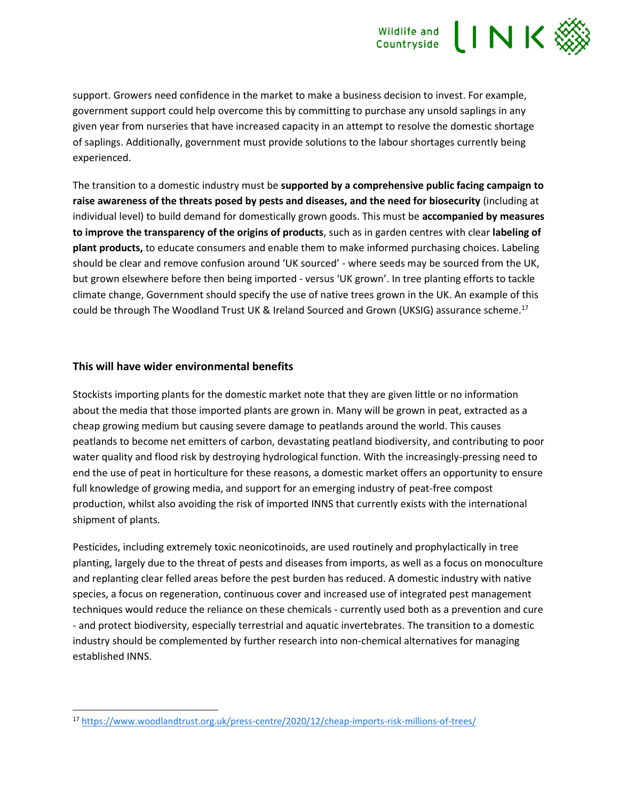# **LINK** Wildlife and<br>Countryside

support. Growers need confidence in the market to make a business decision to invest. For example, government support could help overcome this by committing to purchase any unsold saplings in any given year from nurseries that have increased capacity in an attempt to resolve the domestic shortage of saplings. Additionally, government must provide solutions to the labour shortages currently being experienced.

The transition to a domestic industry must be **supported by a comprehensive public facing campaign to raise awareness of the threats posed by pests and diseases, and the need for biosecurity** (including at individual level) to build demand for domestically grown goods. This must be **accompanied by measures to improve the transparency of the origins of products**, such as in garden centres with clear **labeling of plant products,** to educate consumers and enable them to make informed purchasing choices. Labeling should be clear and remove confusion around 'UK sourced' - where seeds may be sourced from the UK, but grown elsewhere before then being imported - versus 'UK grown'. In tree planting efforts to tackle climate change, Government should specify the use of native trees grown in the UK. An example of this could be through The Woodland Trust UK & Ireland Sourced and Grown (UKSIG) assurance scheme.<sup>17</sup>

#### **This will have wider environmental benefits**

Stockists importing plants for the domestic market note that they are given little or no information about the media that those imported plants are grown in. Many will be grown in peat, extracted as a cheap growing medium but causing severe damage to peatlands around the world. This causes peatlands to become net emitters of carbon, devastating peatland biodiversity, and contributing to poor water quality and flood risk by destroying hydrological function. With the increasingly-pressing need to end the use of peat in horticulture for these reasons, a domestic market offers an opportunity to ensure full knowledge of growing media, and support for an emerging industry of peat-free compost production, whilst also avoiding the risk of imported INNS that currently exists with the international shipment of plants.

Pesticides, including extremely toxic neonicotinoids, are used routinely and prophylactically in tree planting, largely due to the threat of pests and diseases from imports, as well as a focus on monoculture and replanting clear felled areas before the pest burden has reduced. A domestic industry with native species, a focus on regeneration, continuous cover and increased use of integrated pest management techniques would reduce the reliance on these chemicals - currently used both as a prevention and cure - and protect biodiversity, especially terrestrial and aquatic invertebrates. The transition to a domestic industry should be complemented by further research into non-chemical alternatives for managing established INNS.

<sup>17</sup> <https://www.woodlandtrust.org.uk/press-centre/2020/12/cheap-imports-risk-millions-of-trees/>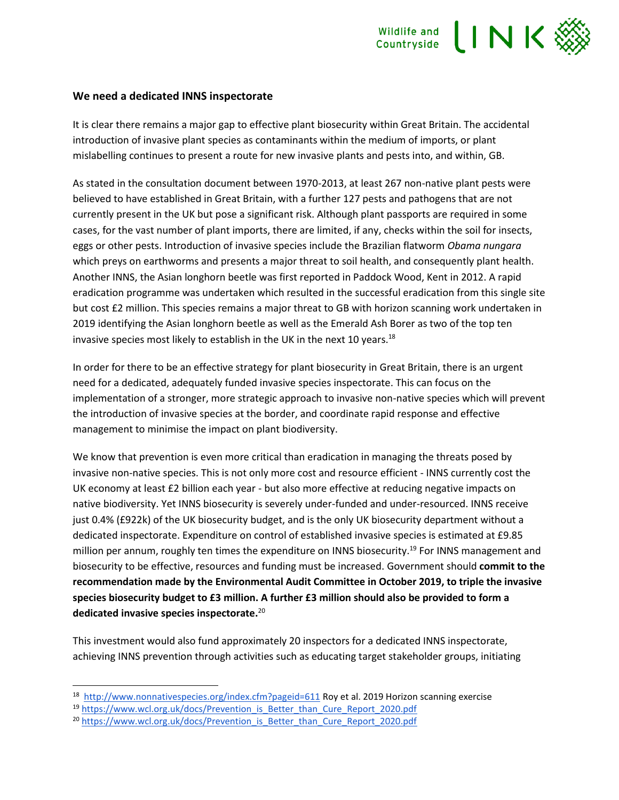# **LINK** Wildlife and<br>Countryside

#### **We need a dedicated INNS inspectorate**

It is clear there remains a major gap to effective plant biosecurity within Great Britain. The accidental introduction of invasive plant species as contaminants within the medium of imports, or plant mislabelling continues to present a route for new invasive plants and pests into, and within, GB.

As stated in the consultation document between 1970-2013, at least 267 non-native plant pests were believed to have established in Great Britain, with a further 127 pests and pathogens that are not currently present in the UK but pose a significant risk. Although plant passports are required in some cases, for the vast number of plant imports, there are limited, if any, checks within the soil for insects, eggs or other pests. Introduction of invasive species include the Brazilian flatworm *Obama nungara* which preys on earthworms and presents a major threat to soil health, and consequently plant health. Another INNS, the Asian longhorn beetle was first reported in Paddock Wood, Kent in 2012. A rapid eradication programme was undertaken which resulted in the successful eradication from this single site but cost £2 million. This species remains a major threat to GB with horizon scanning work undertaken in 2019 identifying the Asian longhorn beetle as well as the Emerald Ash Borer as two of the top ten invasive species most likely to establish in the UK in the next 10 years.<sup>18</sup>

In order for there to be an effective strategy for plant biosecurity in Great Britain, there is an urgent need for a dedicated, adequately funded invasive species inspectorate. This can focus on the implementation of a stronger, more strategic approach to invasive non-native species which will prevent the introduction of invasive species at the border, and coordinate rapid response and effective management to minimise the impact on plant biodiversity.

We know that prevention is even more critical than eradication in managing the threats posed by invasive non-native species. This is not only more cost and resource efficient - INNS currently cost the UK economy at least £2 billion each year - but also more effective at reducing negative impacts on native biodiversity. Yet INNS biosecurity is severely under-funded and under-resourced. INNS receive just 0.4% (£922k) of the UK biosecurity budget, and is the only UK biosecurity department without a dedicated inspectorate. Expenditure on control of established invasive species is estimated at £9.85 million per annum, roughly ten times the expenditure on INNS biosecurity.<sup>19</sup> For INNS management and biosecurity to be effective, resources and funding must be increased. Government should **commit to the recommendation made by the Environmental Audit Committee in October 2019, to triple the invasive species biosecurity budget to £3 million. A further £3 million should also be provided to form a dedicated invasive species inspectorate.**<sup>20</sup>

This investment would also fund approximately 20 inspectors for a dedicated INNS inspectorate, achieving INNS prevention through activities such as educating target stakeholder groups, initiating

<sup>18</sup> <http://www.nonnativespecies.org/index.cfm?pageid=611> Roy et al. 2019 Horizon scanning exercise

<sup>&</sup>lt;sup>19</sup> [https://www.wcl.org.uk/docs/Prevention\\_is\\_Better\\_than\\_Cure\\_Report\\_2020.pdf](https://www.wcl.org.uk/docs/Prevention_is_Better_than_Cure_Report_2020.pdf)

<sup>&</sup>lt;sup>20</sup> [https://www.wcl.org.uk/docs/Prevention\\_is\\_Better\\_than\\_Cure\\_Report\\_2020.pdf](https://www.wcl.org.uk/docs/Prevention_is_Better_than_Cure_Report_2020.pdf)